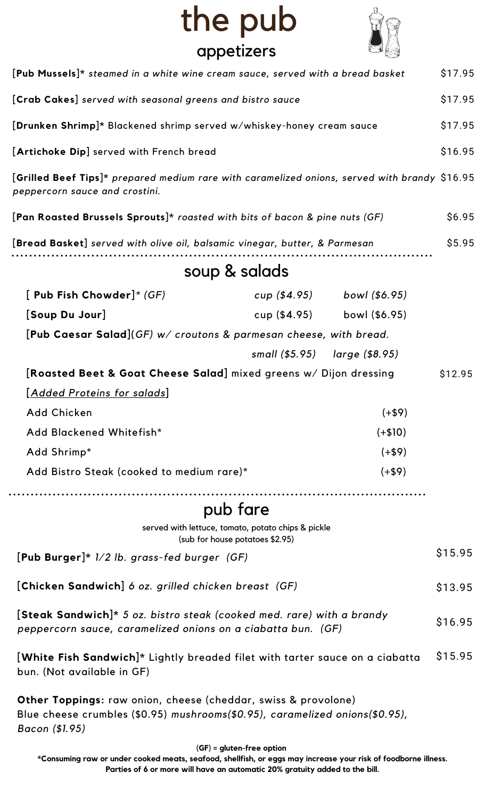## the pub appetizers



| [Pub Mussels]* steamed in a white wine cream sauce, served with a bread basket                                                                        |  |                               | \$17.95 |
|-------------------------------------------------------------------------------------------------------------------------------------------------------|--|-------------------------------|---------|
| [Crab Cakes] served with seasonal greens and bistro sauce                                                                                             |  |                               | \$17.95 |
| [Drunken Shrimp]* Blackened shrimp served w/whiskey-honey cream sauce                                                                                 |  |                               | \$17.95 |
| [Artichoke Dip] served with French bread                                                                                                              |  |                               | \$16.95 |
| [Grilled Beef Tips]* prepared medium rare with caramelized onions, served with brandy \$16.95<br>peppercorn sauce and crostini.                       |  |                               |         |
| [Pan Roasted Brussels Sprouts]* roasted with bits of bacon & pine nuts (GF)                                                                           |  |                               | \$6.95  |
| [Bread Basket] served with olive oil, balsamic vinegar, butter, & Parmesan                                                                            |  | \$5.95                        |         |
| soup & salads                                                                                                                                         |  |                               |         |
| [ Pub Fish Chowder]* $(GF)$                                                                                                                           |  | cup (\$4.95) bowl (\$6.95)    |         |
| [Soup Du Jour]                                                                                                                                        |  | cup (\$4.95) bowl (\$6.95)    |         |
| [Pub Caesar Salad](GF) $w/$ croutons & parmesan cheese, with bread.                                                                                   |  |                               |         |
|                                                                                                                                                       |  | small (\$5.95) large (\$8.95) |         |
| [Roasted Beet & Goat Cheese Salad] mixed greens w/ Dijon dressing                                                                                     |  |                               | \$12.95 |
| <u>[Added Proteins for salads]</u>                                                                                                                    |  |                               |         |
| Add Chicken                                                                                                                                           |  | $(+\$9)$                      |         |
| Add Blackened Whitefish*                                                                                                                              |  | $(+\$10)$                     |         |
| Add Shrimp*                                                                                                                                           |  | $(+\$9)$                      |         |
| Add Bistro Steak (cooked to medium rare)*                                                                                                             |  | $(+\$9)$                      |         |
| pub fare                                                                                                                                              |  |                               |         |
| served with lettuce, tomato, potato chips & pickle<br>(sub for house potatoes \$2.95)                                                                 |  |                               |         |
| $[Pub Burger] * 1/2 lb. grass-field burger (GF)]$                                                                                                     |  |                               | \$15.95 |
| [Chicken Sandwich] 6 oz. grilled chicken breast (GF)                                                                                                  |  |                               | \$13.95 |
| [Steak Sandwich]* 5 oz. bistro steak (cooked med. rare) with a brandy<br>peppercorn sauce, caramelized onions on a ciabatta bun. (GF)                 |  |                               | \$16.95 |
| [White Fish Sandwich]* Lightly breaded filet with tarter sauce on a ciabatta<br>bun. (Not available in GF)                                            |  |                               | \$15.95 |
| <b>Other Toppings:</b> raw onion, cheese (cheddar, swiss & provolone)<br>Blue cheese crumbles (\$0.95) mushrooms(\$0.95), caramelized onions(\$0.95), |  |                               |         |

*Bacon (\$1.95)*

**(GF) = gluten-free option**

\*Consuming raw or under cooked meats, seafood, shellfish, or eggs may increase your risk of foodborne illness. **Parties of 6 or more will have an automatic 20% gratuity added to the bill.**